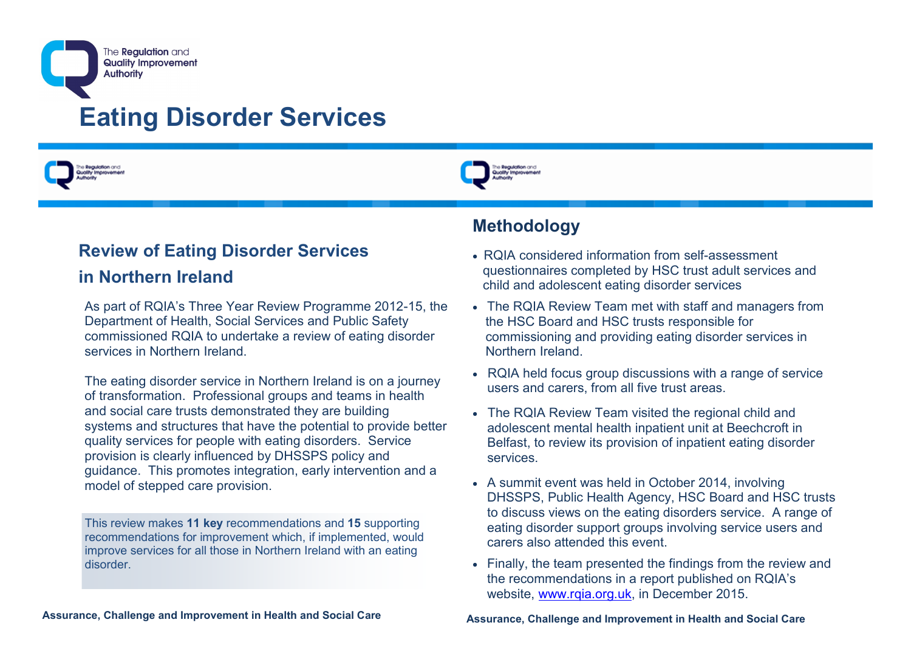



# **Review of Eating Disorder Services**

#### **in Northern Ireland**

As part of RQIA's Three Year Review Programme 2012-15, the Department of Health, Social Services and Public Safety commissioned RQIA to undertake a review of eating disorder services in Northern Ireland.

The eating disorder service in Northern Ireland is on a journey of transformation. Professional groups and teams in health and social care trusts demonstrated they are building systems and structures that have the potential to provide better quality services for people with eating disorders. Service provision is clearly influenced by DHSSPS policy and guidance. This promotes integration, early intervention and a model of stepped care provision.

This review makes **11 key** recommendations and **15** supporting recommendations for improvement which, if implemented, would improve services for all those in Northern Ireland with an eating disorder.

# **Methodology**

- RQIA considered information from self-assessment questionnaires completed by HSC trust adult services and child and adolescent eating disorder services
- The RQIA Review Team met with staff and managers from the HSC Board and HSC trusts responsible for commissioning and providing eating disorder services in Northern Ireland.
- RQIA held focus group discussions with a range of service users and carers, from all five trust areas.
- The RQIA Review Team visited the regional child and adolescent mental health inpatient unit at Beechcroft in Belfast, to review its provision of inpatient eating disorder services.
- A summit event was held in October 2014, involving DHSSPS, Public Health Agency, HSC Board and HSC trusts to discuss views on the eating disorders service. A range of eating disorder support groups involving service users and carers also attended this event.
- Finally, the team presented the findings from the review and the recommendations in a report published on RQIA's website, [www.rqia.org.uk,](http://www.rqia.org.uk) in December 2015.

**Assurance, Challenge and Improvement in Health and Social Care**

**Assurance, Challenge and Improvement in Health and Social Care**